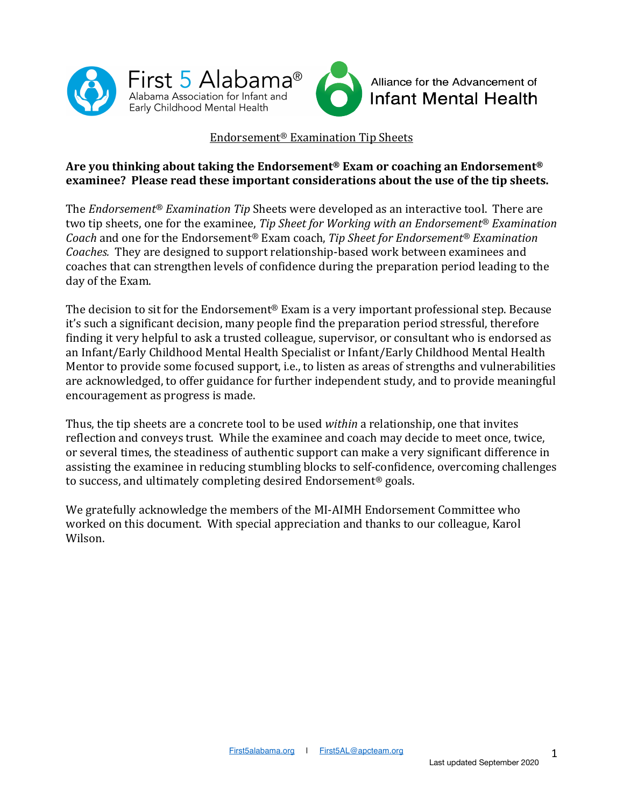



#### Endorsement® Examination Tip Sheets

#### **Are you thinking about taking the Endorsement® Exam or coaching an Endorsement®** examinee? Please read these important considerations about the use of the tip sheets.

The *Endorsement<sup>®</sup> Examination Tip* Sheets were developed as an interactive tool. There are two tip sheets, one for the examinee, *Tip Sheet for Working with an Endorsement<sup>®</sup> Examination Coach* and one for the Endorsement<sup>®</sup> Exam coach, *Tip Sheet for Endorsement<sup>®</sup> Examination Coaches.* They are designed to support relationship-based work between examinees and coaches that can strengthen levels of confidence during the preparation period leading to the day of the Exam.

The decision to sit for the Endorsement<sup>®</sup> Exam is a very important professional step. Because it's such a significant decision, many people find the preparation period stressful, therefore finding it very helpful to ask a trusted colleague, supervisor, or consultant who is endorsed as an Infant/Early Childhood Mental Health Specialist or Infant/Early Childhood Mental Health Mentor to provide some focused support, i.e., to listen as areas of strengths and vulnerabilities are acknowledged, to offer guidance for further independent study, and to provide meaningful encouragement as progress is made.

Thus, the tip sheets are a concrete tool to be used *within* a relationship, one that invites reflection and conveys trust. While the examinee and coach may decide to meet once, twice, or several times, the steadiness of authentic support can make a very significant difference in assisting the examinee in reducing stumbling blocks to self-confidence, overcoming challenges to success, and ultimately completing desired Endorsement<sup>®</sup> goals.

We gratefully acknowledge the members of the MI-AIMH Endorsement Committee who worked on this document. With special appreciation and thanks to our colleague, Karol Wilson.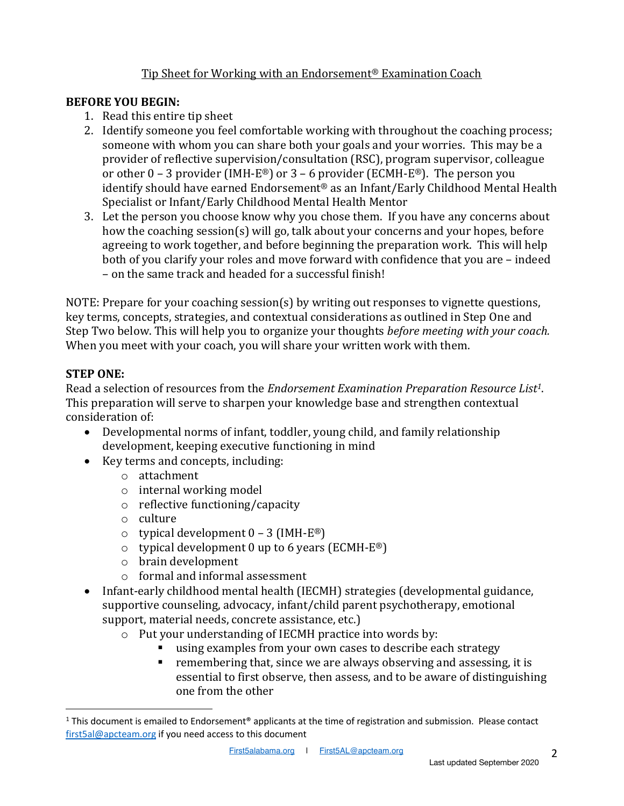## Tip Sheet for Working with an Endorsement<sup>®</sup> Examination Coach

#### **BEFORE YOU BEGIN:**

- 1. Read this entire tip sheet
- 2. Identify someone you feel comfortable working with throughout the coaching process; someone with whom you can share both your goals and your worries. This may be a provider of reflective supervision/consultation (RSC), program supervisor, colleague or other  $0 - 3$  provider (IMH-E<sup>®</sup>) or  $3 - 6$  provider (ECMH-E<sup>®</sup>). The person you identify should have earned Endorsement® as an Infant/Early Childhood Mental Health Specialist or Infant/Early Childhood Mental Health Mentor
- 3. Let the person you choose know why you chose them. If you have any concerns about how the coaching session(s) will go, talk about your concerns and your hopes, before agreeing to work together, and before beginning the preparation work. This will help both of you clarify your roles and move forward with confidence that you are - indeed – on the same track and headed for a successful finish!

NOTE: Prepare for your coaching session(s) by writing out responses to vignette questions, key terms, concepts, strategies, and contextual considerations as outlined in Step One and Step Two below. This will help you to organize your thoughts *before meeting with your coach.* When you meet with your coach, you will share your written work with them.

#### **STEP ONE:**

Read a selection of resources from the *Endorsement Examination Preparation Resource List<sup>1</sup>.* This preparation will serve to sharpen your knowledge base and strengthen contextual consideration of:

- Developmental norms of infant, toddler, young child, and family relationship development, keeping executive functioning in mind
- Key terms and concepts, including:
	- o attachment
	- $\circ$  internal working model
	- $\circ$  reflective functioning/capacity
	- o culture
	- $\circ$  typical development  $0 3$  (IMH-E®)
	- $\circ$  typical development 0 up to 6 years (ECMH-E®)
	- $\circ$  brain development
	- $\circ$  formal and informal assessment
- Infant-early childhood mental health (IECMH) strategies (developmental guidance, supportive counseling, advocacy, infant/child parent psychotherapy, emotional support, material needs, concrete assistance, etc.)
	- $\circ$  Put your understanding of IECMH practice into words by:
		- using examples from your own cases to describe each strategy
		- $\blacksquare$  remembering that, since we are always observing and assessing, it is essential to first observe, then assess, and to be aware of distinguishing one from the other

<sup>&</sup>lt;sup>1</sup> This document is emailed to Endorsement<sup>®</sup> applicants at the time of registration and submission. Please contact first5al@apcteam.org if you need access to this document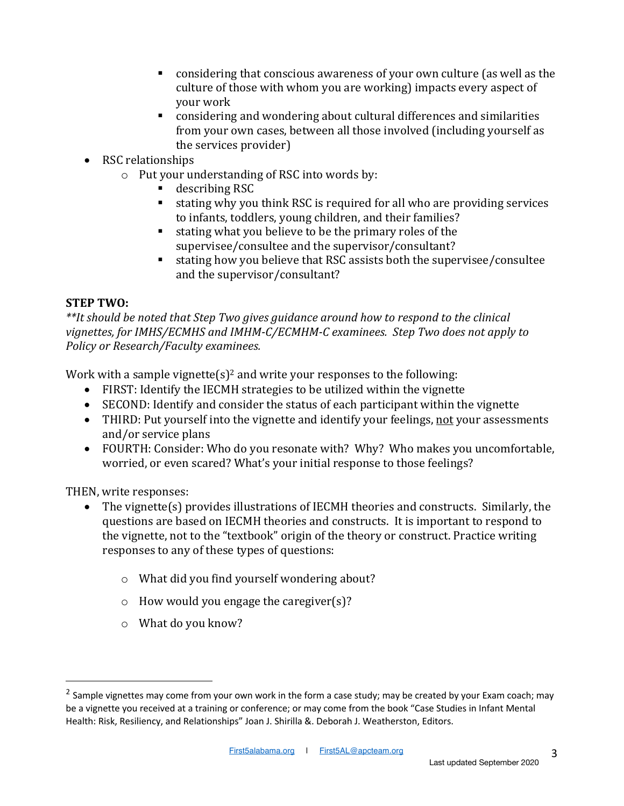- $\blacksquare$  considering that conscious awareness of your own culture (as well as the culture of those with whom you are working) impacts every aspect of vour work
- considering and wondering about cultural differences and similarities from your own cases, between all those involved (including yourself as the services provider)
- RSC relationships
	- $\circ$  Put your understanding of RSC into words by:
		- § describing RSC
		- stating why you think RSC is required for all who are providing services to infants, toddlers, young children, and their families?
		- stating what you believe to be the primary roles of the supervisee/consultee and the supervisor/consultant?
		- stating how you believe that RSC assists both the supervisee/consultee and the supervisor/consultant?

#### **STEP TWO:**

\*\*It should be noted that Step Two gives guidance around how to respond to the clinical vignettes, for IMHS/ECMHS and IMHM-C/ECMHM-C examinees. Step Two does not apply to *Policy or Research/Faculty examinees.*

Work with a sample vignette(s)<sup>2</sup> and write your responses to the following:

- FIRST: Identify the IECMH strategies to be utilized within the vignette
- SECOND: Identify and consider the status of each participant within the vignette
- THIRD: Put yourself into the vignette and identify your feelings, not your assessments and/or service plans
- FOURTH: Consider: Who do you resonate with? Why? Who makes you uncomfortable, worried, or even scared? What's your initial response to those feelings?

THEN, write responses:

- The vignette(s) provides illustrations of IECMH theories and constructs. Similarly, the questions are based on IECMH theories and constructs. It is important to respond to the vignette, not to the "textbook" origin of the theory or construct. Practice writing responses to any of these types of questions:
	- $\circ$  What did you find yourself wondering about?
	- $\circ$  How would you engage the caregiver(s)?
	- $\circ$  What do you know?

<sup>&</sup>lt;sup>2</sup> Sample vignettes may come from your own work in the form a case study; may be created by your Exam coach; may be a vignette you received at a training or conference; or may come from the book "Case Studies in Infant Mental Health: Risk, Resiliency, and Relationships" Joan J. Shirilla &. Deborah J. Weatherston, Editors.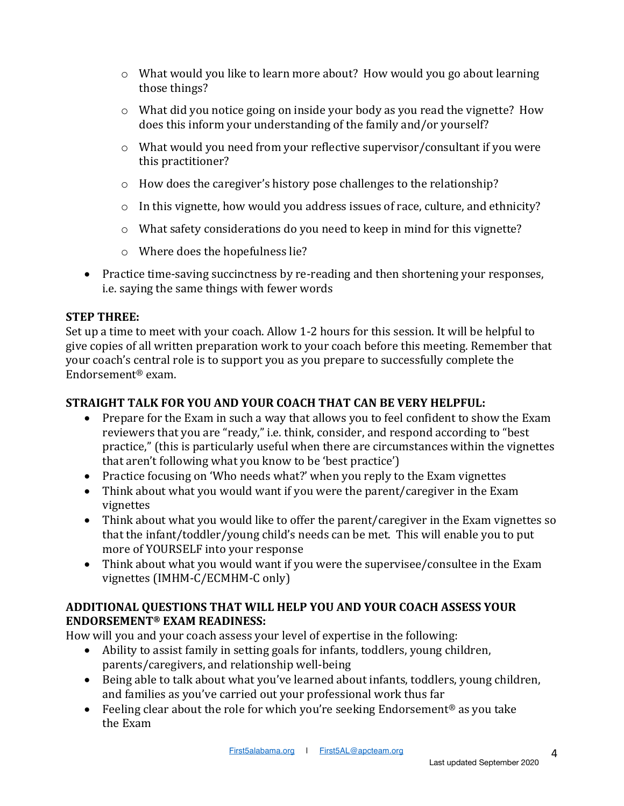- $\circ$  What would you like to learn more about? How would you go about learning those things?
- $\circ$  What did you notice going on inside your body as you read the vignette? How does this inform your understanding of the family and/or yourself?
- $\circ$  What would you need from your reflective supervisor/consultant if you were this practitioner?
- $\circ$  How does the caregiver's history pose challenges to the relationship?
- $\circ$  In this vignette, how would you address issues of race, culture, and ethnicity?
- o What safety considerations do you need to keep in mind for this vignette?
- o Where does the hopefulness lie?
- Practice time-saving succinctness by re-reading and then shortening your responses, i.e. saying the same things with fewer words

## **STEP THREE:**

Set up a time to meet with your coach. Allow 1-2 hours for this session. It will be helpful to give copies of all written preparation work to your coach before this meeting. Remember that your coach's central role is to support you as you prepare to successfully complete the Endorsement® exam.

## **STRAIGHT TALK FOR YOU AND YOUR COACH THAT CAN BE VERY HELPFUL:**

- Prepare for the Exam in such a way that allows you to feel confident to show the Exam reviewers that you are "ready," i.e. think, consider, and respond according to "best practice," (this is particularly useful when there are circumstances within the vignettes that aren't following what you know to be 'best practice')
- Practice focusing on 'Who needs what?' when you reply to the Exam vignettes
- Think about what you would want if you were the parent/caregiver in the Exam vignettes
- Think about what you would like to offer the parent/caregiver in the Exam vignettes so that the infant/toddler/young child's needs can be met. This will enable you to put more of YOURSELF into your response
- Think about what you would want if you were the supervisee/consultee in the Exam vignettes (IMHM-C/ECMHM-C only)

## **ADDITIONAL QUESTIONS THAT WILL HELP YOU AND YOUR COACH ASSESS YOUR ENDORSEMENT® EXAM READINESS:**

How will you and your coach assess your level of expertise in the following:

- Ability to assist family in setting goals for infants, toddlers, young children, parents/caregivers, and relationship well-being
- Being able to talk about what you've learned about infants, toddlers, young children, and families as you've carried out your professional work thus far
- Feeling clear about the role for which you're seeking Endorsement<sup>®</sup> as you take the Exam